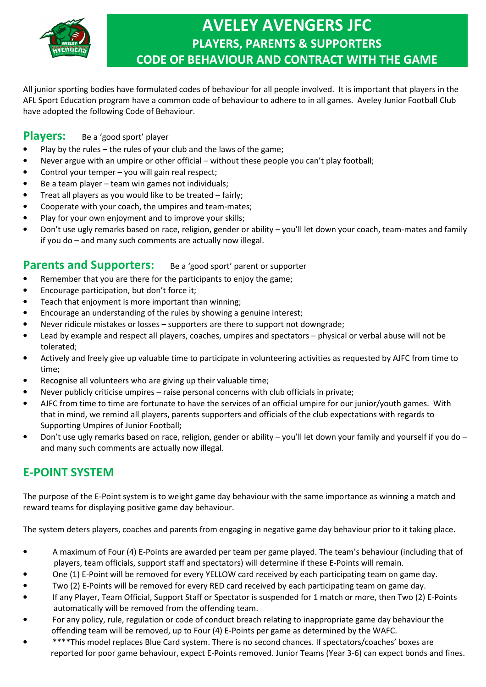

# **AVELEY AVENGERS JFC PLAYERS, PARENTS & SUPPORTERS CODE OF BEHAVIOUR AND CONTRACT WITH THE GAME**

All junior sporting bodies have formulated codes of behaviour for all people involved. It is important that players in the AFL Sport Education program have a common code of behaviour to adhere to in all games. Aveley Junior Football Club have adopted the following Code of Behaviour.

#### **Players:** Be a 'good sport' player

- Play by the rules the rules of your club and the laws of the game;
- Never argue with an umpire or other official without these people you can't play football;
- Control your temper you will gain real respect;
- Be a team player team win games not individuals;
- Treat all players as you would like to be treated fairly;
- Cooperate with your coach, the umpires and team-mates;
- Play for your own enjoyment and to improve your skills;
- Don't use ugly remarks based on race, religion, gender or ability you'll let down your coach, team-mates and family if you do – and many such comments are actually now illegal.

## **Parents and Supporters:** Be a 'good sport' parent or supporter

- Remember that you are there for the participants to enjoy the game;
- Encourage participation, but don't force it;
- Teach that enjoyment is more important than winning;
- Encourage an understanding of the rules by showing a genuine interest;
- Never ridicule mistakes or losses supporters are there to support not downgrade;
- Lead by example and respect all players, coaches, umpires and spectators physical or verbal abuse will not be tolerated;
- Actively and freely give up valuable time to participate in volunteering activities as requested by AJFC from time to time;
- Recognise all volunteers who are giving up their valuable time;
- Never publicly criticise umpires raise personal concerns with club officials in private;
- AJFC from time to time are fortunate to have the services of an official umpire for our junior/youth games. With that in mind, we remind all players, parents supporters and officials of the club expectations with regards to Supporting Umpires of Junior Football;
- Don't use ugly remarks based on race, religion, gender or ability you'll let down your family and yourself if you do and many such comments are actually now illegal.

## **E-POINT SYSTEM**

The purpose of the E-Point system is to weight game day behaviour with the same importance as winning a match and reward teams for displaying positive game day behaviour.

The system deters players, coaches and parents from engaging in negative game day behaviour prior to it taking place.

- A maximum of Four (4) E-Points are awarded per team per game played. The team's behaviour (including that of players, team officials, support staff and spectators) will determine if these E-Points will remain.
- One (1) E-Point will be removed for every YELLOW card received by each participating team on game day.
- Two (2) E-Points will be removed for every RED card received by each participating team on game day.
- If any Player, Team Official, Support Staff or Spectator is suspended for 1 match or more, then Two (2) E-Points automatically will be removed from the offending team.
- For any policy, rule, regulation or code of conduct breach relating to inappropriate game day behaviour the offending team will be removed, up to Four (4) E-Points per game as determined by the WAFC.
- \*\*\*\*This model replaces Blue Card system. There is no second chances. If spectators/coaches' boxes are reported for poor game behaviour, expect E-Points removed. Junior Teams (Year 3-6) can expect bonds and fines.